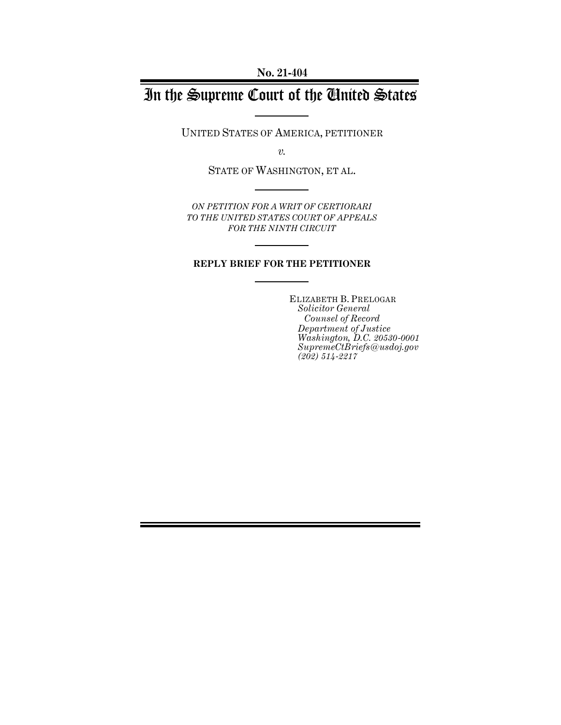# In the Supreme Court of the United States

UNITED STATES OF AMERICA, PETITIONER

*v.*

STATE OF WASHINGTON, ET AL.

*ON PETITION FOR A WRIT OF CERTIORARI TO THE UNITED STATES COURT OF APPEALS FOR THE NINTH CIRCUIT*

### **REPLY BRIEF FOR THE PETITIONER**

ELIZABETH B. PRELOGAR *Solicitor General Counsel of Record Department of Justice Washington, D.C. 20530-0001 SupremeCtBriefs@usdoj.gov (202) 514-2217*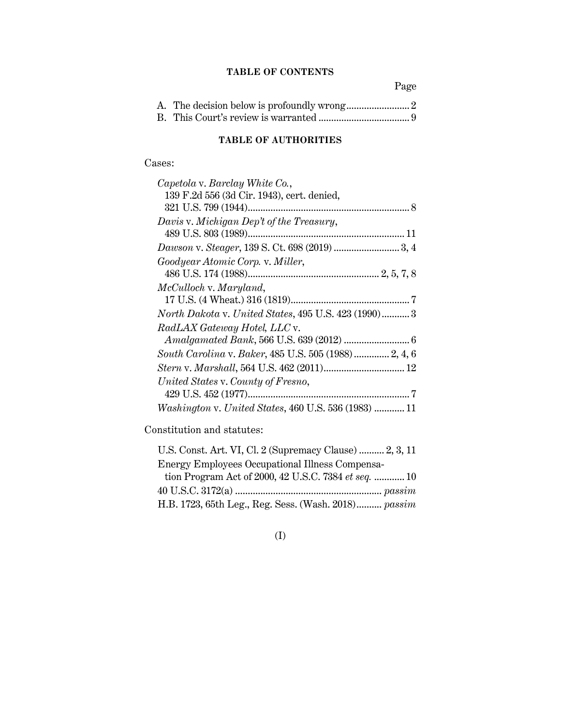### **TABLE OF CONTENTS**

Page

## **TABLE OF AUTHORITIES**

Cases:

Constitution and statutes:

| U.S. Const. Art. VI, Cl. 2 (Supremacy Clause)  2, 3, 11 |  |
|---------------------------------------------------------|--|
| Energy Employees Occupational Illness Compensa-         |  |
| tion Program Act of 2000, 42 U.S.C. 7384 et seq.  10    |  |
|                                                         |  |
| H.B. 1723, 65th Leg., Reg. Sess. (Wash. 2018) passim    |  |

(I)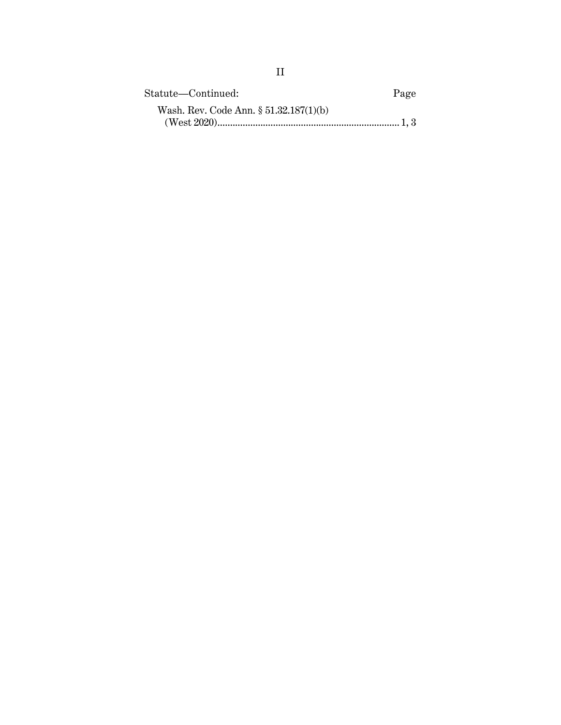| Statute—Continued:                     | Page |
|----------------------------------------|------|
| Wash. Rev. Code Ann. § 51.32.187(1)(b) |      |
|                                        |      |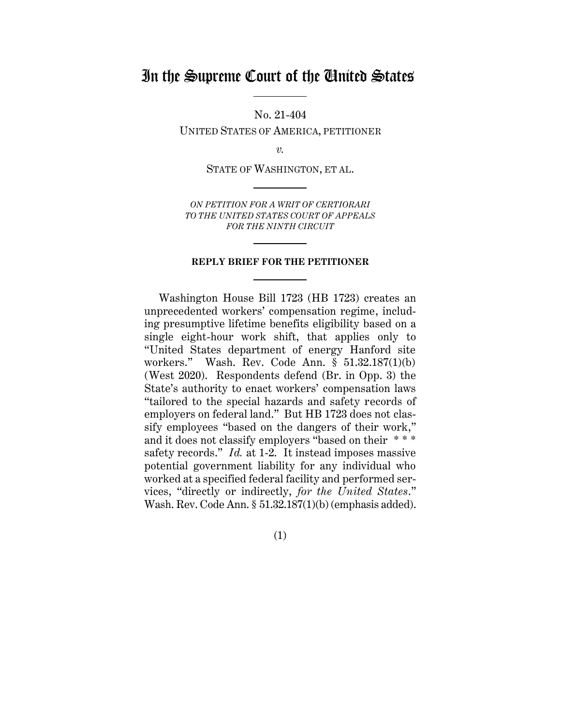# In the Supreme Court of the United States

No. 21-404

UNITED STATES OF AMERICA, PETITIONER

*v.*

STATE OF WASHINGTON, ET AL.

*ON PETITION FOR A WRIT OF CERTIORARI TO THE UNITED STATES COURT OF APPEALS FOR THE NINTH CIRCUIT*

### **REPLY BRIEF FOR THE PETITIONER**

Washington House Bill 1723 (HB 1723) creates an unprecedented workers' compensation regime, including presumptive lifetime benefits eligibility based on a single eight-hour work shift, that applies only to "United States department of energy Hanford site workers." Wash. Rev. Code Ann. § 51.32.187(1)(b) (West 2020). Respondents defend (Br. in Opp. 3) the State's authority to enact workers' compensation laws "tailored to the special hazards and safety records of employers on federal land." But HB 1723 does not classify employees "based on the dangers of their work," and it does not classify employers "based on their \* \* \* safety records." *Id.* at 1-2. It instead imposes massive potential government liability for any individual who worked at a specified federal facility and performed services, "directly or indirectly, *for the United States*." Wash. Rev. Code Ann. § 51.32.187(1)(b) (emphasis added).

(1)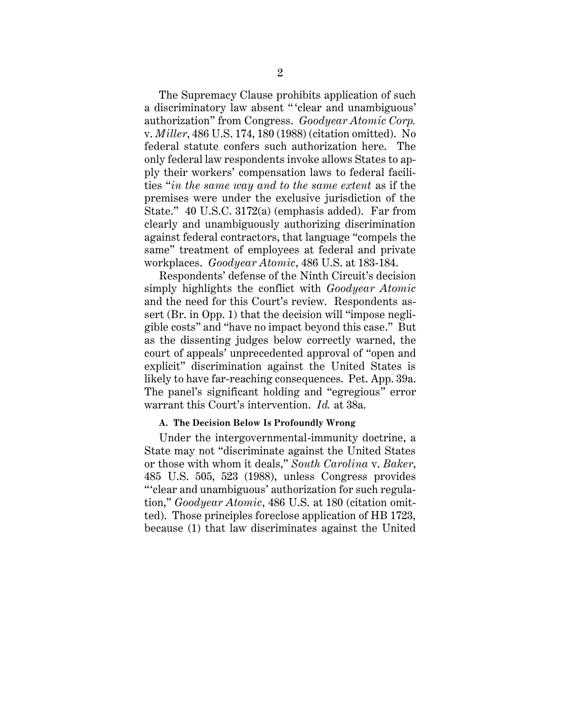The Supremacy Clause prohibits application of such a discriminatory law absent " 'clear and unambiguous' authorization" from Congress. *Goodyear Atomic Corp.* v. *Miller*, 486 U.S. 174, 180 (1988) (citation omitted). No federal statute confers such authorization here. The only federal law respondents invoke allows States to apply their workers' compensation laws to federal facilities "*in the same way and to the same extent* as if the premises were under the exclusive jurisdiction of the State." 40 U.S.C. 3172(a) (emphasis added). Far from clearly and unambiguously authorizing discrimination against federal contractors, that language "compels the same" treatment of employees at federal and private workplaces. *Goodyear Atomic*, 486 U.S. at 183-184.

Respondents' defense of the Ninth Circuit's decision simply highlights the conflict with *Goodyear Atomic* and the need for this Court's review. Respondents assert (Br. in Opp. 1) that the decision will "impose negligible costs" and "have no impact beyond this case." But as the dissenting judges below correctly warned, the court of appeals' unprecedented approval of "open and explicit" discrimination against the United States is likely to have far-reaching consequences. Pet. App. 39a. The panel's significant holding and "egregious" error warrant this Court's intervention. *Id.* at 38a.

#### <span id="page-4-0"></span>**A. The Decision Below Is Profoundly Wrong**

Under the intergovernmental-immunity doctrine, a State may not "discriminate against the United States or those with whom it deals," *South Carolina* v. *Baker*, 485 U.S. 505, 523 (1988), unless Congress provides "'clear and unambiguous' authorization for such regulation," *Goodyear Atomic*, 486 U.S. at 180 (citation omitted). Those principles foreclose application of HB 1723, because (1) that law discriminates against the United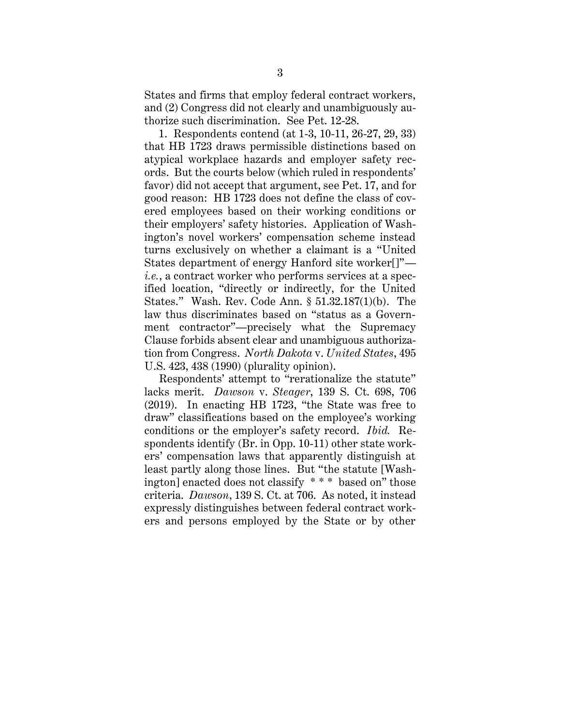States and firms that employ federal contract workers, and (2) Congress did not clearly and unambiguously authorize such discrimination. See Pet. 12-28.

1. Respondents contend (at 1-3, 10-11, 26-27, 29, 33) that HB 1723 draws permissible distinctions based on atypical workplace hazards and employer safety records. But the courts below (which ruled in respondents' favor) did not accept that argument, see Pet. 17, and for good reason: HB 1723 does not define the class of covered employees based on their working conditions or their employers' safety histories. Application of Washington's novel workers' compensation scheme instead turns exclusively on whether a claimant is a "United States department of energy Hanford site worker[]" *i.e.*, a contract worker who performs services at a specified location, "directly or indirectly, for the United States." Wash. Rev. Code Ann. § 51.32.187(1)(b). The law thus discriminates based on "status as a Government contractor"—precisely what the Supremacy Clause forbids absent clear and unambiguous authorization from Congress. *North Dakota* v. *United States*, 495 U.S. 423, 438 (1990) (plurality opinion).

Respondents' attempt to "rerationalize the statute" lacks merit. *Dawson* v. *Steager*, 139 S. Ct. 698, 706 (2019). In enacting HB 1723, "the State was free to draw" classifications based on the employee's working conditions or the employer's safety record. *Ibid.* Respondents identify (Br. in Opp. 10-11) other state workers' compensation laws that apparently distinguish at least partly along those lines. But "the statute [Washington] enacted does not classify \* \* \* based on" those criteria. *Dawson*, 139 S. Ct. at 706. As noted, it instead expressly distinguishes between federal contract workers and persons employed by the State or by other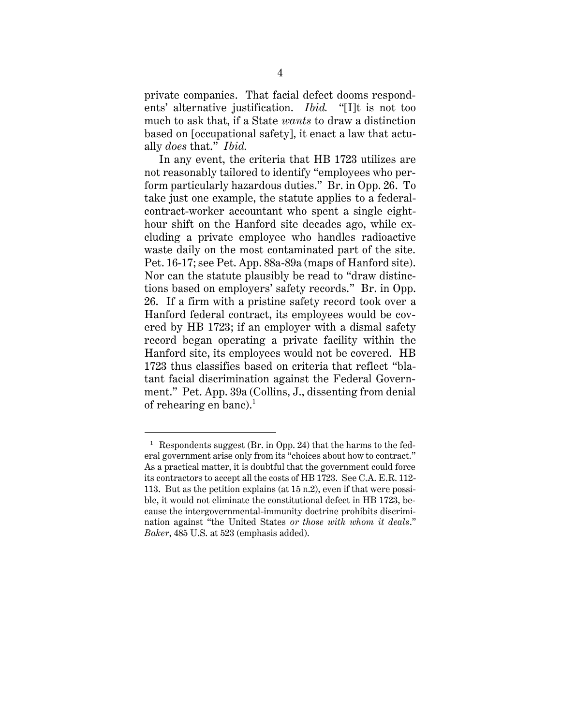private companies. That facial defect dooms respondents' alternative justification. *Ibid.* "[I]t is not too much to ask that, if a State *wants* to draw a distinction based on [occupational safety], it enact a law that actually *does* that." *Ibid.*

In any event, the criteria that HB 1723 utilizes are not reasonably tailored to identify "employees who perform particularly hazardous duties." Br. in Opp. 26. To take just one example, the statute applies to a federalcontract-worker accountant who spent a single eighthour shift on the Hanford site decades ago, while excluding a private employee who handles radioactive waste daily on the most contaminated part of the site. Pet. 16-17; see Pet. App. 88a-89a (maps of Hanford site). Nor can the statute plausibly be read to "draw distinctions based on employers' safety records." Br. in Opp. 26. If a firm with a pristine safety record took over a Hanford federal contract, its employees would be covered by HB 1723; if an employer with a dismal safety record began operating a private facility within the Hanford site, its employees would not be covered. HB 1723 thus classifies based on criteria that reflect "blatant facial discrimination against the Federal Government." Pet. App. 39a (Collins, J., dissenting from denial of rehearing en banc).<sup>1</sup>

<sup>&</sup>lt;sup>1</sup> Respondents suggest (Br. in Opp. 24) that the harms to the federal government arise only from its "choices about how to contract." As a practical matter, it is doubtful that the government could force its contractors to accept all the costs of HB 1723. See C.A. E.R. 112- 113. But as the petition explains (at 15 n.2), even if that were possible, it would not eliminate the constitutional defect in HB 1723, because the intergovernmental-immunity doctrine prohibits discrimination against "the United States *or those with whom it deals*." *Baker*, 485 U.S. at 523 (emphasis added).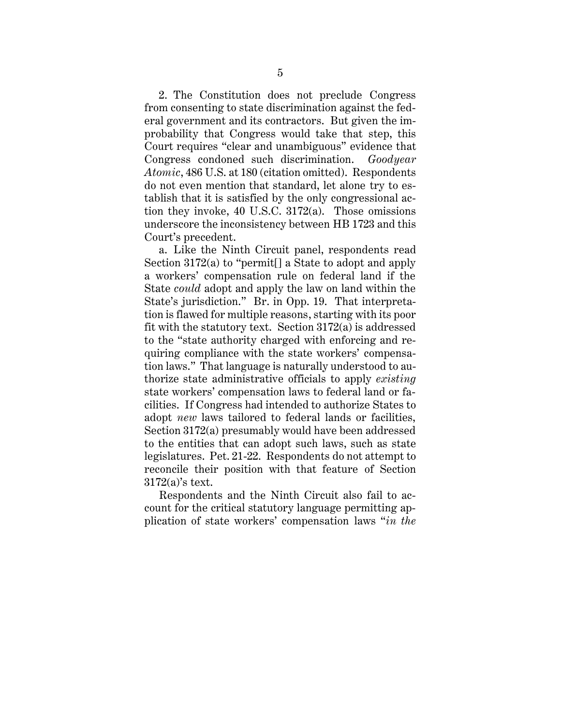2. The Constitution does not preclude Congress from consenting to state discrimination against the federal government and its contractors. But given the improbability that Congress would take that step, this Court requires "clear and unambiguous" evidence that Congress condoned such discrimination. *Goodyear Atomic*, 486 U.S. at 180 (citation omitted). Respondents do not even mention that standard, let alone try to establish that it is satisfied by the only congressional action they invoke, 40 U.S.C. 3172(a). Those omissions underscore the inconsistency between HB 1723 and this Court's precedent.

a. Like the Ninth Circuit panel, respondents read Section 3172(a) to "permit[] a State to adopt and apply a workers' compensation rule on federal land if the State *could* adopt and apply the law on land within the State's jurisdiction." Br. in Opp. 19. That interpretation is flawed for multiple reasons, starting with its poor fit with the statutory text. Section 3172(a) is addressed to the "state authority charged with enforcing and requiring compliance with the state workers' compensation laws." That language is naturally understood to authorize state administrative officials to apply *existing* state workers' compensation laws to federal land or facilities. If Congress had intended to authorize States to adopt *new* laws tailored to federal lands or facilities, Section 3172(a) presumably would have been addressed to the entities that can adopt such laws, such as state legislatures. Pet. 21-22. Respondents do not attempt to reconcile their position with that feature of Section 3172(a)'s text.

Respondents and the Ninth Circuit also fail to account for the critical statutory language permitting application of state workers' compensation laws "*in the*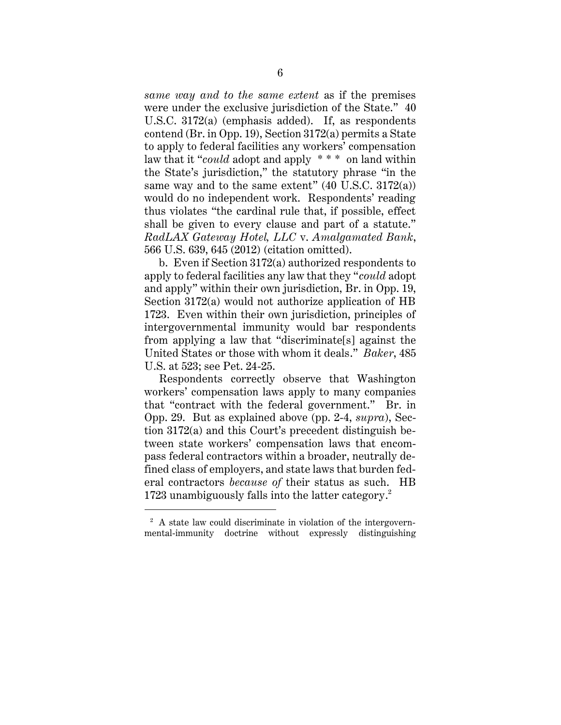*same way and to the same extent* as if the premises were under the exclusive jurisdiction of the State." 40 U.S.C. 3172(a) (emphasis added). If, as respondents contend (Br. in Opp. 19), Section 3172(a) permits a State to apply to federal facilities any workers' compensation law that it "*could* adopt and apply \* \* \* on land within the State's jurisdiction," the statutory phrase "in the same way and to the same extent"  $(40 \text{ U.S.C. } 3172(a))$ would do no independent work. Respondents' reading thus violates "the cardinal rule that, if possible, effect shall be given to every clause and part of a statute." *RadLAX Gateway Hotel, LLC* v. *Amalgamated Bank*, 566 U.S. 639, 645 (2012) (citation omitted).

b. Even if Section 3172(a) authorized respondents to apply to federal facilities any law that they "*could* adopt and apply" within their own jurisdiction, Br. in Opp. 19, Section 3172(a) would not authorize application of HB 1723. Even within their own jurisdiction, principles of intergovernmental immunity would bar respondents from applying a law that "discriminate[s] against the United States or those with whom it deals." *Baker*, 485 U.S. at 523; see Pet. 24-25.

Respondents correctly observe that Washington workers' compensation laws apply to many companies that "contract with the federal government." Br. in Opp. 29. But as explained above (pp. 2-4, *supra*), Section 3172(a) and this Court's precedent distinguish between state workers' compensation laws that encompass federal contractors within a broader, neutrally defined class of employers, and state laws that burden federal contractors *because of* their status as such. HB 1723 unambiguously falls into the latter category. 2

<sup>&</sup>lt;sup>2</sup> A state law could discriminate in violation of the intergovernmental-immunity doctrine without expressly distinguishing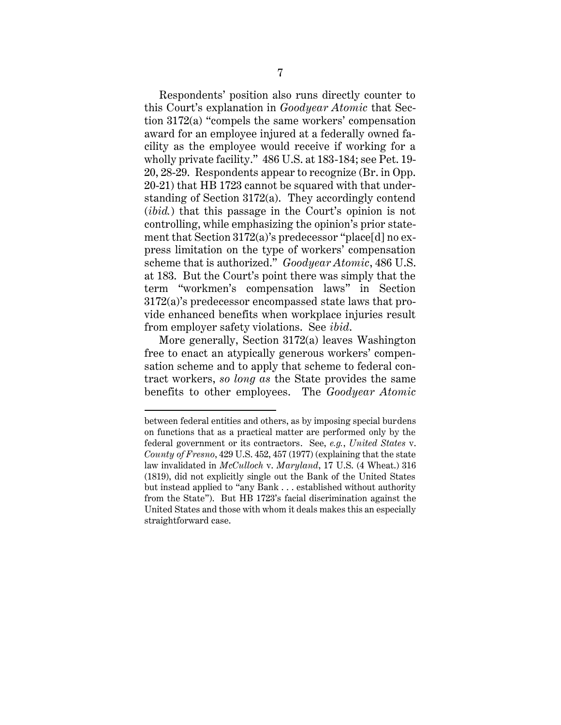Respondents' position also runs directly counter to this Court's explanation in *Goodyear Atomic* that Section 3172(a) "compels the same workers' compensation award for an employee injured at a federally owned facility as the employee would receive if working for a wholly private facility." 486 U.S. at 183-184; see Pet. 19- 20, 28-29. Respondents appear to recognize (Br. in Opp. 20-21) that HB 1723 cannot be squared with that understanding of Section 3172(a). They accordingly contend (*ibid.*) that this passage in the Court's opinion is not controlling, while emphasizing the opinion's prior statement that Section 3172(a)'s predecessor "place[d] no express limitation on the type of workers' compensation scheme that is authorized." *Goodyear Atomic*, 486 U.S. at 183. But the Court's point there was simply that the term "workmen's compensation laws" in Section 3172(a)'s predecessor encompassed state laws that provide enhanced benefits when workplace injuries result from employer safety violations. See *ibid*.

More generally, Section 3172(a) leaves Washington free to enact an atypically generous workers' compensation scheme and to apply that scheme to federal contract workers, *so long as* the State provides the same benefits to other employees. The *Goodyear Atomic*

between federal entities and others, as by imposing special burdens on functions that as a practical matter are performed only by the federal government or its contractors. See, *e.g.*, *United States* v. *County of Fresno*, 429 U.S. 452, 457 (1977) (explaining that the state law invalidated in *McCulloch* v. *Maryland*, 17 U.S. (4 Wheat.) 316 (1819), did not explicitly single out the Bank of the United States but instead applied to "any Bank . . . established without authority from the State"). But HB 1723's facial discrimination against the United States and those with whom it deals makes this an especially straightforward case.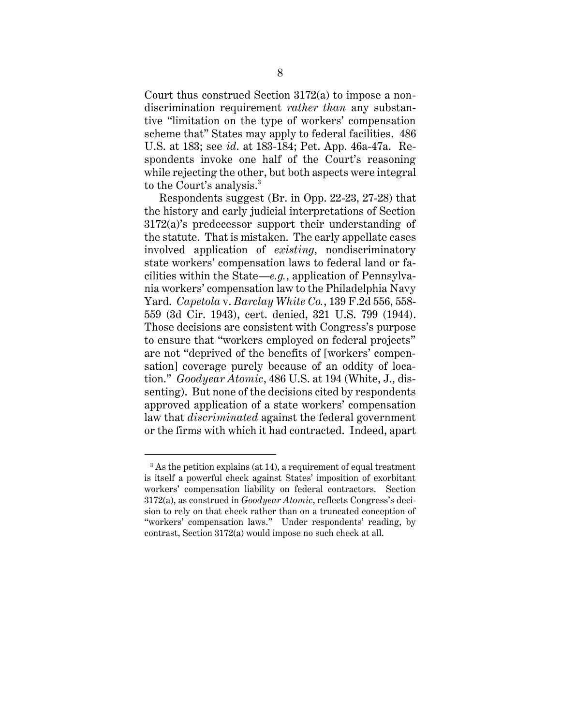Court thus construed Section 3172(a) to impose a nondiscrimination requirement *rather than* any substantive "limitation on the type of workers' compensation scheme that" States may apply to federal facilities. 486 U.S. at 183; see *id*. at 183-184; Pet. App. 46a-47a. Respondents invoke one half of the Court's reasoning while rejecting the other, but both aspects were integral to the Court's analysis. 3

Respondents suggest (Br. in Opp. 22-23, 27-28) that the history and early judicial interpretations of Section 3172(a)'s predecessor support their understanding of the statute. That is mistaken. The early appellate cases involved application of *existing*, nondiscriminatory state workers' compensation laws to federal land or facilities within the State—*e.g.*, application of Pennsylvania workers' compensation law to the Philadelphia Navy Yard. *Capetola* v. *Barclay White Co.*, 139 F.2d 556, 558- 559 (3d Cir. 1943), cert. denied, 321 U.S. 799 (1944). Those decisions are consistent with Congress's purpose to ensure that "workers employed on federal projects" are not "deprived of the benefits of [workers' compensation] coverage purely because of an oddity of location." *Goodyear Atomic*, 486 U.S. at 194 (White, J., dissenting). But none of the decisions cited by respondents approved application of a state workers' compensation law that *discriminated* against the federal government or the firms with which it had contracted. Indeed, apart

<sup>&</sup>lt;sup>3</sup> As the petition explains (at 14), a requirement of equal treatment is itself a powerful check against States' imposition of exorbitant workers' compensation liability on federal contractors. Section 3172(a), as construed in *Goodyear Atomic*, reflects Congress's decision to rely on that check rather than on a truncated conception of "workers' compensation laws." Under respondents' reading, by contrast, Section 3172(a) would impose no such check at all.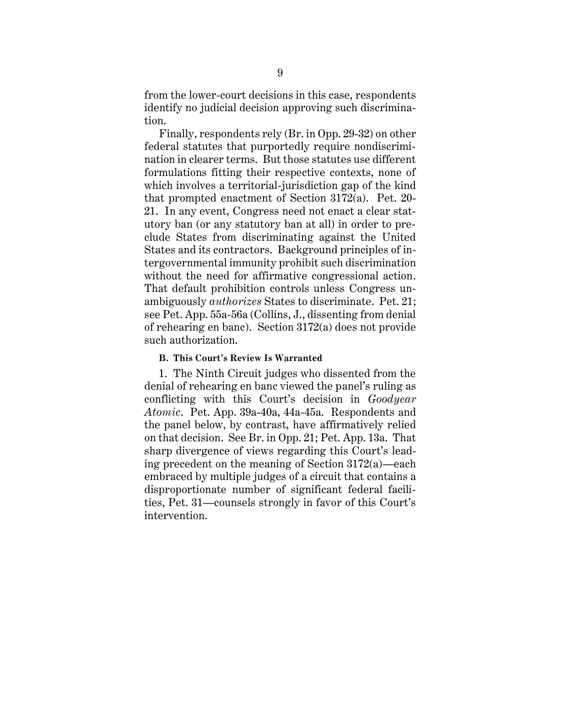from the lower-court decisions in this case, respondents identify no judicial decision approving such discrimination.

Finally, respondents rely (Br. in Opp. 29-32) on other federal statutes that purportedly require nondiscrimination in clearer terms. But those statutes use different formulations fitting their respective contexts, none of which involves a territorial-jurisdiction gap of the kind that prompted enactment of Section 3172(a). Pet. 20- 21. In any event, Congress need not enact a clear statutory ban (or any statutory ban at all) in order to preclude States from discriminating against the United States and its contractors. Background principles of intergovernmental immunity prohibit such discrimination without the need for affirmative congressional action. That default prohibition controls unless Congress unambiguously *authorizes* States to discriminate. Pet. 21; see Pet. App. 55a-56a (Collins, J., dissenting from denial of rehearing en banc). Section 3172(a) does not provide such authorization.

### <span id="page-11-0"></span>**B. This Court's Review Is Warranted**

1. The Ninth Circuit judges who dissented from the denial of rehearing en banc viewed the panel's ruling as conflicting with this Court's decision in *Goodyear Atomic*. Pet. App. 39a-40a, 44a-45a. Respondents and the panel below, by contrast, have affirmatively relied on that decision. See Br. in Opp. 21; Pet. App. 13a. That sharp divergence of views regarding this Court's leading precedent on the meaning of Section 3172(a)—each embraced by multiple judges of a circuit that contains a disproportionate number of significant federal facilities, Pet. 31—counsels strongly in favor of this Court's intervention.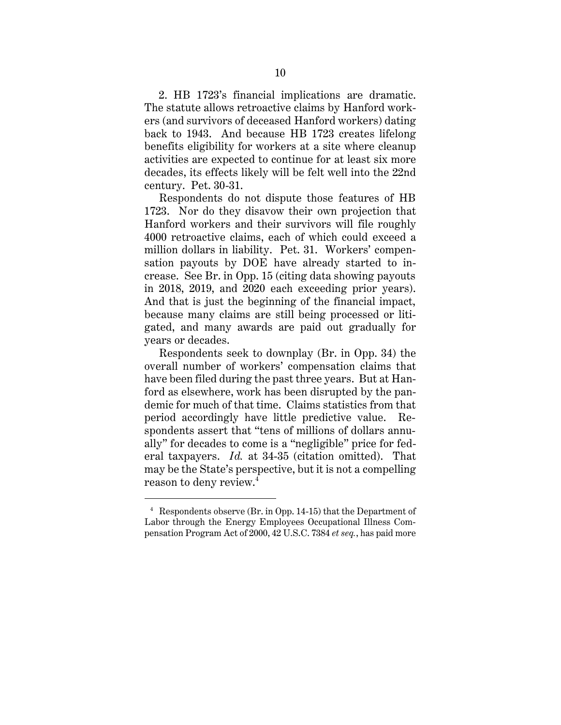2. HB 1723's financial implications are dramatic. The statute allows retroactive claims by Hanford workers (and survivors of deceased Hanford workers) dating back to 1943. And because HB 1723 creates lifelong benefits eligibility for workers at a site where cleanup activities are expected to continue for at least six more decades, its effects likely will be felt well into the 22nd century. Pet. 30-31.

Respondents do not dispute those features of HB 1723. Nor do they disavow their own projection that Hanford workers and their survivors will file roughly 4000 retroactive claims, each of which could exceed a million dollars in liability. Pet. 31. Workers' compensation payouts by DOE have already started to increase. See Br. in Opp. 15 (citing data showing payouts in 2018, 2019, and 2020 each exceeding prior years). And that is just the beginning of the financial impact, because many claims are still being processed or litigated, and many awards are paid out gradually for years or decades.

Respondents seek to downplay (Br. in Opp. 34) the overall number of workers' compensation claims that have been filed during the past three years. But at Hanford as elsewhere, work has been disrupted by the pandemic for much of that time. Claims statistics from that period accordingly have little predictive value. Respondents assert that "tens of millions of dollars annually" for decades to come is a "negligible" price for federal taxpayers. *Id.* at 34-35 (citation omitted). That may be the State's perspective, but it is not a compelling reason to deny review.<sup>4</sup>

<sup>4</sup> Respondents observe (Br. in Opp. 14-15) that the Department of Labor through the Energy Employees Occupational Illness Compensation Program Act of 2000, 42 U.S.C. 7384 *et seq.*, has paid more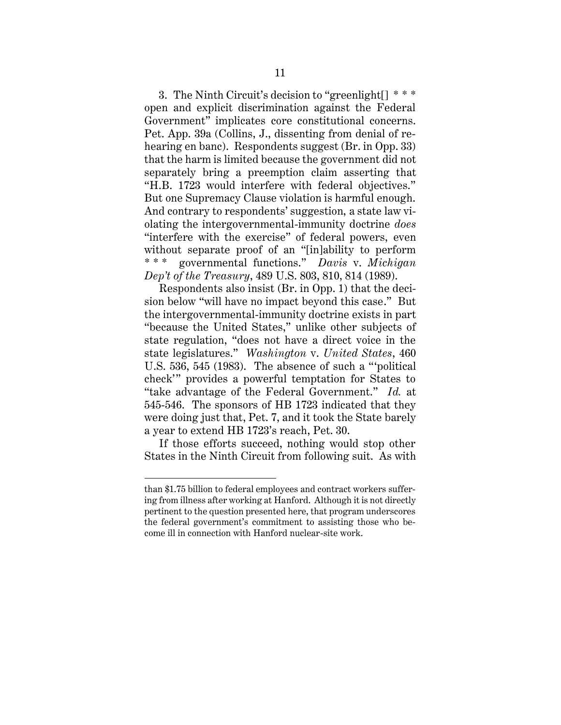3. The Ninth Circuit's decision to "greenlight[] \* \* \* open and explicit discrimination against the Federal Government" implicates core constitutional concerns. Pet. App. 39a (Collins, J., dissenting from denial of rehearing en banc). Respondents suggest (Br. in Opp. 33) that the harm is limited because the government did not separately bring a preemption claim asserting that "H.B. 1723 would interfere with federal objectives." But one Supremacy Clause violation is harmful enough. And contrary to respondents' suggestion, a state law violating the intergovernmental-immunity doctrine *does* "interfere with the exercise" of federal powers, even without separate proof of an "[in]ability to perform \* \* \* governmental functions." *Davis* v. *Michigan Dep't of the Treasury*, 489 U.S. 803, 810, 814 (1989).

Respondents also insist (Br. in Opp. 1) that the decision below "will have no impact beyond this case." But the intergovernmental-immunity doctrine exists in part "because the United States," unlike other subjects of state regulation, "does not have a direct voice in the state legislatures." *Washington* v. *United States*, 460 U.S. 536, 545 (1983). The absence of such a "'political check'" provides a powerful temptation for States to "take advantage of the Federal Government." *Id.* at 545-546. The sponsors of HB 1723 indicated that they were doing just that, Pet. 7, and it took the State barely a year to extend HB 1723's reach, Pet. 30.

If those efforts succeed, nothing would stop other States in the Ninth Circuit from following suit. As with

than \$1.75 billion to federal employees and contract workers suffering from illness after working at Hanford. Although it is not directly pertinent to the question presented here, that program underscores the federal government's commitment to assisting those who become ill in connection with Hanford nuclear-site work.